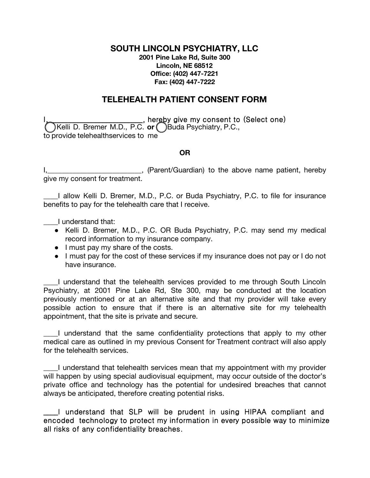## **SOUTH LINCOLN PSYCHIATRY, LLC**

**2001 Pine Lake Rd, Suite 300 Lincoln, NE 68512 Office: (402) 447-7221 Fax: (402) 447-7222**

## **TELEHEALTH PATIENT CONSENT FORM**

I,\_\_\_\_\_\_\_\_\_\_\_\_\_\_\_\_\_\_\_\_\_\_\_\_\_\_, hereby give my consent to (Select one) () Kelli D. Bremer M.D., P.C. or () Buda Psychiatry, P.C., to provide telehealthservices to me

## **OR**

I,\_\_\_\_\_\_\_\_\_\_\_\_\_\_\_\_\_\_\_\_\_\_\_\_\_\_, (Parent/Guardian) to the above name patient, hereby give my consent for treatment.

\_\_\_\_I allow Kelli D. Bremer, M.D., P.C. or Buda Psychiatry, P.C. to file for insurance benefits to pay for the telehealth care that I receive.

\_\_\_\_I understand that:

- Kelli D. Bremer, M.D., P.C. OR Buda Psychiatry, P.C. may send my medical record information to my insurance company.
- I must pay my share of the costs.
- I must pay for the cost of these services if my insurance does not pay or I do not have insurance.

\_\_\_\_I understand that the telehealth services provided to me through South Lincoln Psychiatry, at 2001 Pine Lake Rd, Ste 300, may be conducted at the location previously mentioned or at an alternative site and that my provider will take every possible action to ensure that if there is an alternative site for my telehealth appointment, that the site is private and secure.

\_\_\_\_I understand that the same confidentiality protections that apply to my other medical care as outlined in my previous Consent for Treatment contract will also apply for the telehealth services.

\_\_\_\_I understand that telehealth services mean that my appointment with my provider will happen by using special audiovisual equipment, may occur outside of the doctor's private office and technology has the potential for undesired breaches that cannot always be anticipated, therefore creating potential risks.

I understand that SLP will be prudent in using HIPAA compliant and encoded technology to protect my information in every possible way to minimize all risks of any confidentiality breaches.